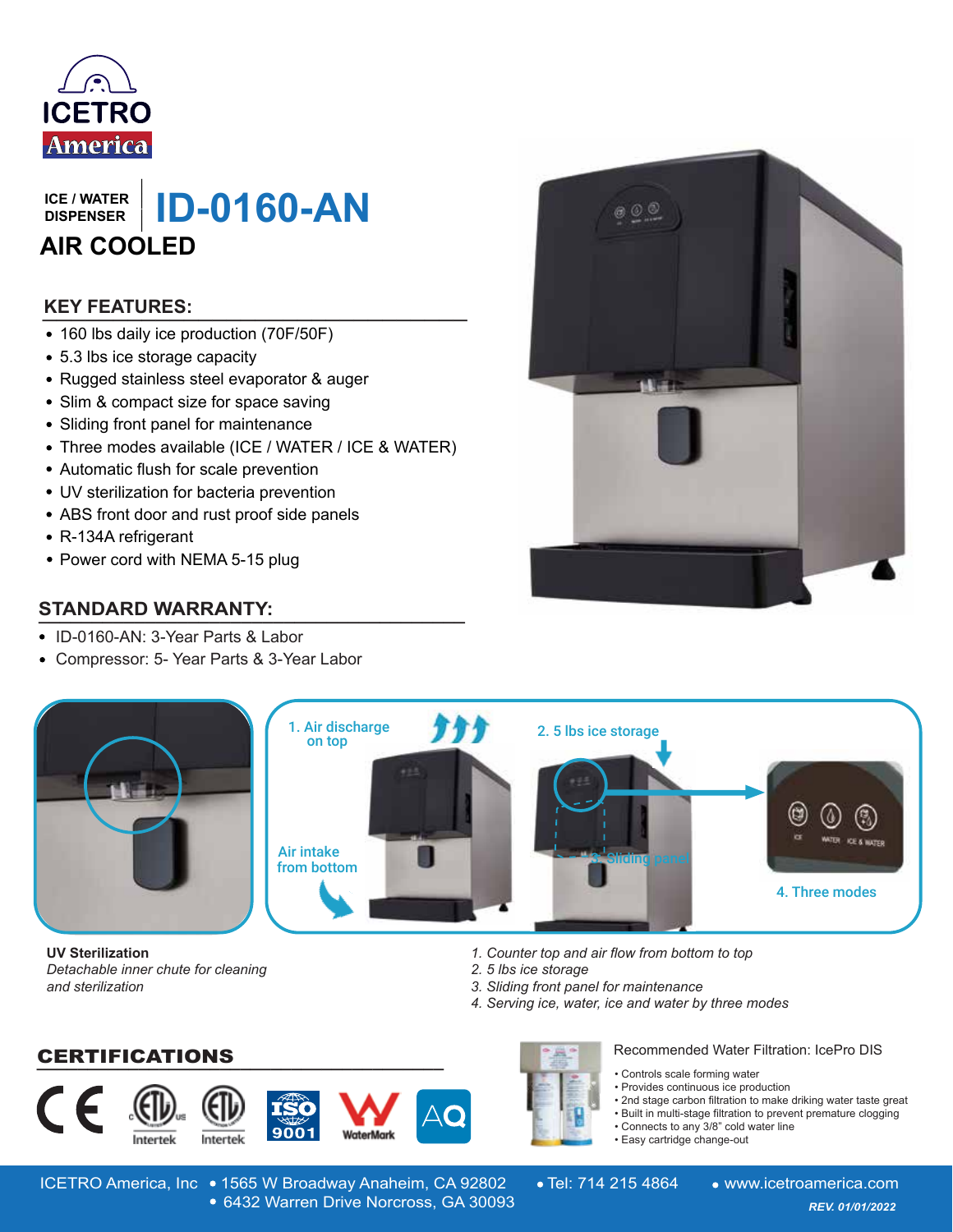

**DISPENSER**

**ISPENSER | ID-0160-AN AIR COOLED**

# **\_\_\_\_\_\_\_\_\_\_\_\_\_\_\_\_\_\_\_\_\_\_\_\_\_\_\_\_\_\_ KEY FEATURES:**

- 160 lbs daily ice production (70F/50F)
- 5.3 lbs ice storage capacity
- Rugged stainless steel evaporator & auger
- Slim & compact size for space saving
- Sliding front panel for maintenance
- Three modes available (ICE / WATER / ICE & WATER)
- Automatic flush for scale prevention
- UV sterilization for bacteria prevention
- ABS front door and rust proof side panels
- R-134A refrigerant
- Power cord with NEMA 5-15 plug

# **STANDARD WARRANTY: \_\_\_\_\_\_\_\_\_\_\_\_\_\_\_\_\_\_\_\_\_\_\_\_\_\_\_\_\_\_\_\_\_\_\_\_\_\_\_\_**

- ID-0160-AN: 3-Year Parts & Labor
- Compressor: 5- Year Parts & 3-Year Labor





**UV Sterilization** *Detachable inner chute for cleaning and sterilization*

*1. Counter top and air flow from bottom to top*

- *2. 5 lbs ice storage*
- *3. Sliding front panel for maintenance*
- *4. Serving ice, water, ice and water by three modes*

**\_\_\_\_\_\_\_\_\_\_\_\_\_\_\_\_\_\_\_\_\_\_\_\_\_\_\_\_\_\_\_\_\_\_\_\_\_\_\_\_** CERTIFICATIONS





Recommended Water Filtration: IcePro DIS

- Controls scale forming water
- Provides continuous ice production
- 2nd stage carbon filtration to make driking water taste great
- Built in multi-stage filtration to prevent premature clogging
- Connects to any 3/8" cold water line
- Easy cartridge change-out

*Design and specifications are subject to change without notice* 6432 Warren Drive Norcross, GA 30093 *REV. 01/01/2022* 6432 Warren Drive Norcross, GA 30093 ICETRO America, Inc • 1565 W Broadway Anaheim, CA 92802 • Tel: 714 215 4864 • www.icetroamerica.com